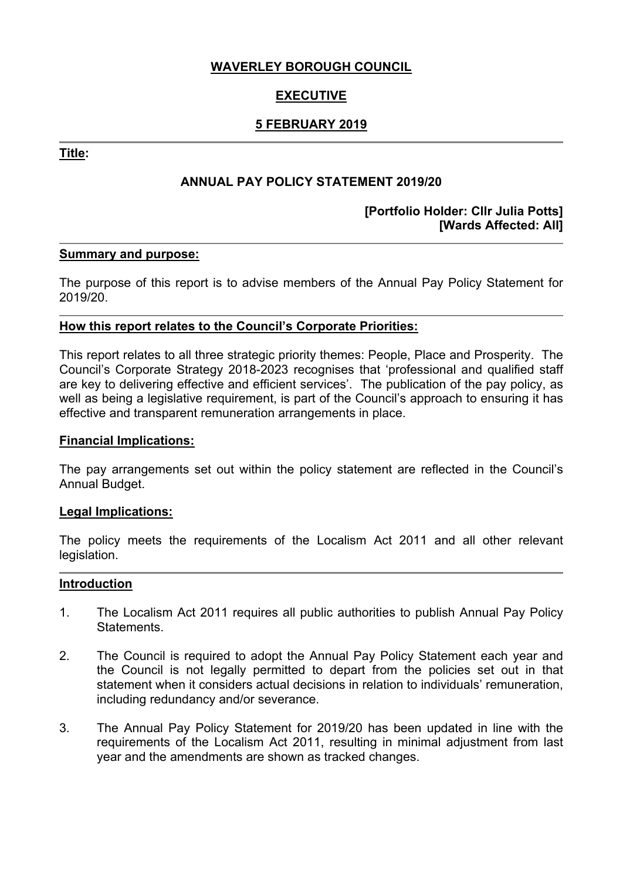## **WAVERLEY BOROUGH COUNCIL**

# **EXECUTIVE**

## **5 FEBRUARY 2019**

**Title:**

## **ANNUAL PAY POLICY STATEMENT 2019/20**

### **[Portfolio Holder: Cllr Julia Potts] [Wards Affected: All]**

#### **Summary and purpose:**

The purpose of this report is to advise members of the Annual Pay Policy Statement for 2019/20.

#### **How this report relates to the Council's Corporate Priorities:**

This report relates to all three strategic priority themes: People, Place and Prosperity. The Council's Corporate Strategy 2018-2023 recognises that 'professional and qualified staff are key to delivering effective and efficient services'. The publication of the pay policy, as well as being a legislative requirement, is part of the Council's approach to ensuring it has effective and transparent remuneration arrangements in place.

#### **Financial Implications:**

The pay arrangements set out within the policy statement are reflected in the Council's Annual Budget.

#### **Legal Implications:**

The policy meets the requirements of the Localism Act 2011 and all other relevant legislation.

#### **Introduction**

- 1. The Localism Act 2011 requires all public authorities to publish Annual Pay Policy Statements.
- 2. The Council is required to adopt the Annual Pay Policy Statement each year and the Council is not legally permitted to depart from the policies set out in that statement when it considers actual decisions in relation to individuals' remuneration, including redundancy and/or severance.
- 3. The Annual Pay Policy Statement for 2019/20 has been updated in line with the requirements of the Localism Act 2011, resulting in minimal adjustment from last year and the amendments are shown as tracked changes.